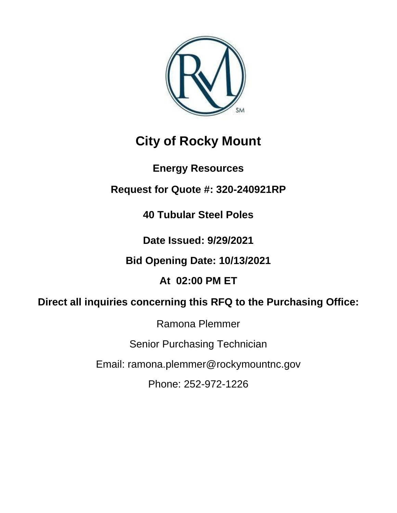

# **City of Rocky Mount**

# **Energy Resources**

# **Request for Quote #: 320-240921RP**

**40 Tubular Steel Poles**

**Date Issued: 9/29/2021**

**Bid Opening Date: 10/13/2021**

**At 02:00 PM ET**

# **Direct all inquiries concerning this RFQ to the Purchasing Office:**

Ramona Plemmer

Senior Purchasing Technician

Email: ramona.plemmer@rockymountnc.gov

Phone: 252-972-1226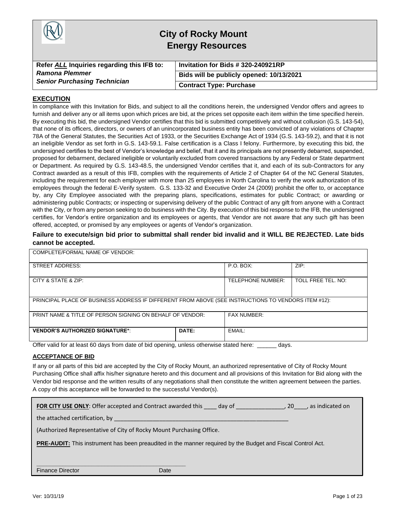

## **City of Rocky Mount Energy Resources**

| Refer ALL Inquiries regarding this IFB to: | Invitation for Bids # 320-240921RP       |
|--------------------------------------------|------------------------------------------|
| <b>Ramona Plemmer</b>                      | Bids will be publicly opened: 10/13/2021 |
| <b>Senior Purchasing Technician</b>        | <b>Contract Type: Purchase</b>           |

#### **EXECUTION**

In compliance with this Invitation for Bids, and subject to all the conditions herein, the undersigned Vendor offers and agrees to furnish and deliver any or all items upon which prices are bid, at the prices set opposite each item within the time specified herein. By executing this bid, the undersigned Vendor certifies that this bid is submitted competitively and without collusion (G.S. 143-54), that none of its officers, directors, or owners of an unincorporated business entity has been convicted of any violations of Chapter 78A of the General Statutes, the Securities Act of 1933, or the Securities Exchange Act of 1934 (G.S. 143-59.2), and that it is not an ineligible Vendor as set forth in G.S. 143-59.1. False certification is a Class I felony. Furthermore, by executing this bid, the undersigned certifies to the best of Vendor's knowledge and belief, that it and its principals are not presently debarred, suspended, proposed for debarment, declared ineligible or voluntarily excluded from covered transactions by any Federal or State department or Department. As required by G.S. 143-48.5, the undersigned Vendor certifies that it, and each of its sub-Contractors for any Contract awarded as a result of this IFB, complies with the requirements of Article 2 of Chapter 64 of the NC General Statutes, including the requirement for each employer with more than 25 employees in North Carolina to verify the work authorization of its employees through the federal E-Verify system. G.S. 133-32 and Executive Order 24 (2009) prohibit the offer to, or acceptance by, any City Employee associated with the preparing plans, specifications, estimates for public Contract; or awarding or administering public Contracts; or inspecting or supervising delivery of the public Contract of any gift from anyone with a Contract with the City, or from any person seeking to do business with the City. By execution of this bid response to the IFB, the undersigned certifies, for Vendor's entire organization and its employees or agents, that Vendor are not aware that any such gift has been offered, accepted, or promised by any employees or agents of Vendor's organization.

#### **Failure to execute/sign bid prior to submittal shall render bid invalid and it WILL BE REJECTED. Late bids cannot be accepted.**

| COMPLETE/FORMAL NAME OF VENDOR:                                                                     |                    |                    |      |  |
|-----------------------------------------------------------------------------------------------------|--------------------|--------------------|------|--|
| <b>STREET ADDRESS:</b>                                                                              |                    | $P.O.$ BOX:        | ZIP: |  |
| CITY & STATE & ZIP:                                                                                 | TELEPHONE NUMBER:  | TOLL FREE TEL. NO: |      |  |
| PRINCIPAL PLACE OF BUSINESS ADDRESS IF DIFFERENT FROM ABOVE (SEE INSTRUCTIONS TO VENDORS ITEM #12): |                    |                    |      |  |
| PRINT NAME & TITLE OF PERSON SIGNING ON BEHALF OF VENDOR:                                           | <b>FAX NUMBER:</b> |                    |      |  |
| <b>VENDOR'S AUTHORIZED SIGNATURE*:</b>                                                              | DATE:              | EMAIL:             |      |  |

Offer valid for at least 60 days from date of bid opening, unless otherwise stated here: \_\_\_\_\_\_ days.

#### **ACCEPTANCE OF BID**

If any or all parts of this bid are accepted by the City of Rocky Mount, an authorized representative of City of Rocky Mount Purchasing Office shall affix his/her signature hereto and this document and all provisions of this Invitation for Bid along with the Vendor bid response and the written results of any negotiations shall then constitute the written agreement between the parties. A copy of this acceptance will be forwarded to the successful Vendor(s).

| <b>FOR CITY USE ONLY:</b> Offer accepted and Contract awarded this | day of |  | . as indicated on |
|--------------------------------------------------------------------|--------|--|-------------------|
|--------------------------------------------------------------------|--------|--|-------------------|

the attached certification, by

(Authorized Representative of City of Rocky Mount Purchasing Office.

**\_\_\_\_\_\_\_\_\_\_\_\_\_\_\_\_\_\_\_\_\_\_\_\_\_\_\_\_\_\_\_\_\_\_\_\_\_\_\_\_\_\_\_\_\_\_**

**PRE-AUDIT:** This instrument has been preaudited in the manner required by the Budget and Fiscal Control Act.

Finance Director **Date** Date Date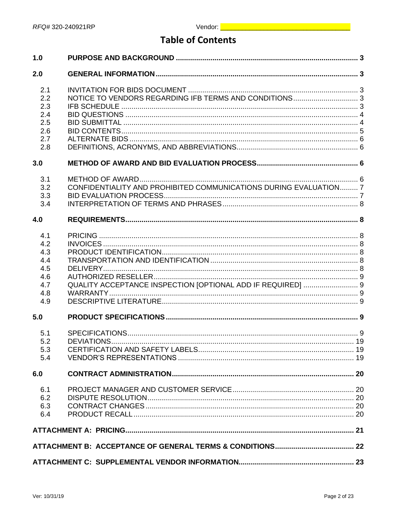## **Table of Contents**

| 1.0                                                         |                                                                   |  |
|-------------------------------------------------------------|-------------------------------------------------------------------|--|
| 2.0                                                         |                                                                   |  |
| 2.1<br>2.2<br>2.3<br>2.4<br>2.5<br>2.6<br>2.7<br>2.8        |                                                                   |  |
| 3.0                                                         |                                                                   |  |
| 3.1<br>3.2<br>3.3<br>3.4                                    | CONFIDENTIALITY AND PROHIBITED COMMUNICATIONS DURING EVALUATION 7 |  |
| 4.0                                                         |                                                                   |  |
| 4.1<br>4.2<br>4.3<br>4.4<br>4.5<br>4.6<br>4.7<br>4.8<br>4.9 | QUALITY ACCEPTANCE INSPECTION [OPTIONAL ADD IF REQUIRED]  9       |  |
| 5.0                                                         |                                                                   |  |
| 5.1<br>5.2<br>5.3<br>5.4                                    |                                                                   |  |
| 6.0                                                         |                                                                   |  |
| 6.1<br>6.2<br>6.3<br>6.4                                    |                                                                   |  |
|                                                             |                                                                   |  |
|                                                             |                                                                   |  |
|                                                             |                                                                   |  |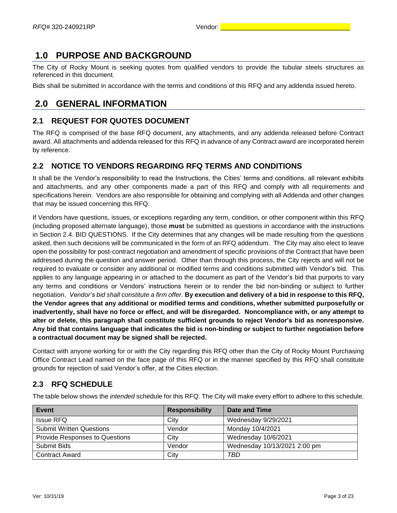### <span id="page-3-0"></span>**1.0 PURPOSE AND BACKGROUND**

The City of Rocky Mount is seeking quotes from qualified vendors to provide the tubular steels structures as referenced in this document.

Bids shall be submitted in accordance with the terms and conditions of this RFQ and any addenda issued hereto.

### <span id="page-3-1"></span>**2.0 GENERAL INFORMATION**

#### <span id="page-3-2"></span>**2.1 REQUEST FOR QUOTES DOCUMENT**

The RFQ is comprised of the base RFQ document, any attachments, and any addenda released before Contract award. All attachments and addenda released for this RFQ in advance of any Contract award are incorporated herein by reference.

#### <span id="page-3-3"></span>**2.2 NOTICE TO VENDORS REGARDING RFQ TERMS AND CONDITIONS**

It shall be the Vendor's responsibility to read the Instructions, the Cities' terms and conditions, all relevant exhibits and attachments, and any other components made a part of this RFQ and comply with all requirements and specifications herein. Vendors are also responsible for obtaining and complying with all Addenda and other changes that may be issued concerning this RFQ.

If Vendors have questions, issues, or exceptions regarding any term, condition, or other component within this RFQ (including proposed alternate language), those **must** be submitted as questions in accordance with the instructions in Section 2.4. BID QUESTIONS. If the City determines that any changes will be made resulting from the questions asked, then such decisions will be communicated in the form of an RFQ addendum. The City may also elect to leave open the possibility for post-contract negotiation and amendment of specific provisions of the Contract that have been addressed during the question and answer period. Other than through this process, the City rejects and will not be required to evaluate or consider any additional or modified terms and conditions submitted with Vendor's bid. This applies to any language appearing in or attached to the document as part of the Vendor's bid that purports to vary any terms and conditions or Vendors' instructions herein or to render the bid non-binding or subject to further negotiation. *Vendor's bid shall constitute a firm offer.* **By execution and delivery of a bid in response to this RFQ, the Vendor agrees that any additional or modified terms and conditions, whether submitted purposefully or inadvertently, shall have no force or effect, and will be disregarded. Noncompliance with, or any attempt to alter or delete, this paragraph shall constitute sufficient grounds to reject Vendor's bid as nonresponsive. Any bid that contains language that indicates the bid is non-binding or subject to further negotiation before a contractual document may be signed shall be rejected.**

Contact with anyone working for or with the City regarding this RFQ other than the City of Rocky Mount Purchasing Office Contract Lead named on the face page of this RFQ or in the manner specified by this RFQ shall constitute grounds for rejection of said Vendor's offer, at the Cities election.

#### <span id="page-3-4"></span>**2.3 RFQ SCHEDULE**

The table below shows the *intended* schedule for this RFQ. The City will make every effort to adhere to this schedule.

| Event                                 | <b>Responsibility</b> | Date and Time                |
|---------------------------------------|-----------------------|------------------------------|
| Issue RFQ                             | City                  | Wednesday 9/29/2021          |
| <b>Submit Written Questions</b>       | Vendor                | Monday 10/4/2021             |
| <b>Provide Responses to Questions</b> | City                  | Wednesday 10/6/2021          |
| Submit Bids                           | Vendor                | Wednesday 10/13/2021 2:00 pm |
| <b>Contract Award</b>                 | City                  | TBD                          |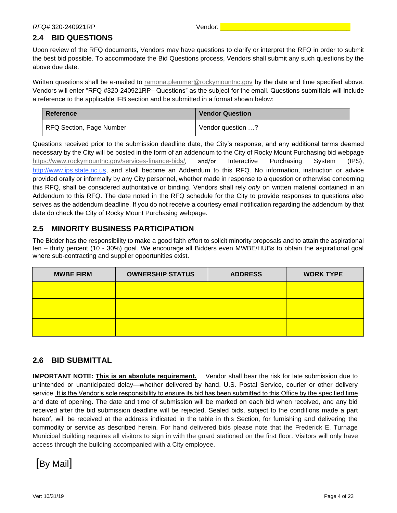### <span id="page-4-0"></span>**2.4 BID QUESTIONS**

Upon review of the RFQ documents, Vendors may have questions to clarify or interpret the RFQ in order to submit the best bid possible. To accommodate the Bid Questions process, Vendors shall submit any such questions by the above due date.

Written questions shall be e-mailed to [ramona.plemmer@rockymountnc.gov](mailto:ramona.plemmer@rockymountnc.gov) by the date and time specified above. Vendors will enter "RFQ #320-240921RP– Questions" as the subject for the email. Questions submittals will include a reference to the applicable IFB section and be submitted in a format shown below:

| Reference                | <b>Vendor Question</b> |
|--------------------------|------------------------|
| RFQ Section, Page Number | Yendor question ?      |

Questions received prior to the submission deadline date, the City's response, and any additional terms deemed necessary by the City will be posted in the form of an addendum to the City of Rocky Mount Purchasing bid webpage <https://www.rockymountnc.gov/services-finance-bids/>, and/or Interactive Purchasing System (IPS), [http://www.ips.state.nc.us,](http://www.ips.state.nc.us/) and shall become an Addendum to this RFQ. No information, instruction or advice provided orally or informally by any City personnel, whether made in response to a question or otherwise concerning this RFQ, shall be considered authoritative or binding. Vendors shall rely *only* on written material contained in an Addendum to this RFQ. The date noted in the RFQ schedule for the City to provide responses to questions also serves as the addendum deadline. If you do not receive a courtesy email notification regarding the addendum by that date do check the City of Rocky Mount Purchasing webpage.

### **2.5 MINORITY BUSINESS PARTICIPATION**

The Bidder has the responsibility to make a good faith effort to solicit minority proposals and to attain the aspirational ten – thirty percent (10 - 30%) goal. We encourage all Bidders even MWBE/HUBs to obtain the aspirational goal where sub-contracting and supplier opportunities exist.

| <b>MWBE FIRM</b> | <b>OWNERSHIP STATUS</b> | <b>ADDRESS</b> | <b>WORK TYPE</b> |
|------------------|-------------------------|----------------|------------------|
|                  |                         |                |                  |
|                  |                         |                |                  |
|                  |                         |                |                  |

### <span id="page-4-1"></span>**2.6 BID SUBMITTAL**

**IMPORTANT NOTE: This is an absolute requirement.** Vendor shall bear the risk for late submission due to unintended or unanticipated delay—whether delivered by hand, U.S. Postal Service, courier or other delivery service. It is the Vendor's sole responsibility to ensure its bid has been submitted to this Office by the specified time and date of opening. The date and time of submission will be marked on each bid when received, and any bid received after the bid submission deadline will be rejected. Sealed bids, subject to the conditions made a part hereof, will be received at the address indicated in the table in this Section, for furnishing and delivering the commodity or service as described herein. For hand delivered bids please note that the Frederick E. Turnage Municipal Building requires all visitors to sign in with the guard stationed on the first floor. Visitors will only have access through the building accompanied with a City employee.

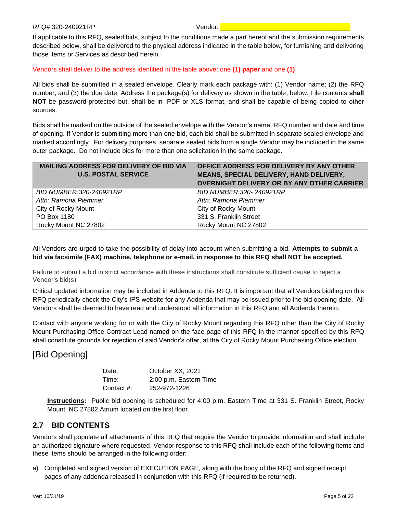If applicable to this RFQ, sealed bids, subject to the conditions made a part hereof and the submission requirements described below, shall be delivered to the physical address indicated in the table below, for furnishing and delivering those items or Services as described herein.

#### Vendors shall deliver to the address identified in the table above: one **(1) paper** and one **(1)**

All bids shall be submitted in a sealed envelope. Clearly mark each package with: (1) Vendor name; (2) the RFQ number; and (3) the due date. Address the package(s) for delivery as shown in the table, below. File contents **shall NOT** be password-protected but, shall be in .PDF or XLS format, and shall be capable of being copied to other sources.

Bids shall be marked on the outside of the sealed envelope with the Vendor's name, RFQ number and date and time of opening. If Vendor is submitting more than one bid, each bid shall be submitted in separate sealed envelope and marked accordingly. For delivery purposes, separate sealed bids from a single Vendor may be included in the same outer package. Do not include bids for more than one solicitation in the same package.

| <b>MAILING ADDRESS FOR DELIVERY OF BID VIA</b><br><b>U.S. POSTAL SERVICE</b> | OFFICE ADDRESS FOR DELIVERY BY ANY OTHER<br>MEANS, SPECIAL DELIVERY, HAND DELIVERY,<br><b>OVERNIGHT DELIVERY OR BY ANY OTHER CARRIER</b> |
|------------------------------------------------------------------------------|------------------------------------------------------------------------------------------------------------------------------------------|
| BID NUMBER:320-240921RP                                                      | BID NUMBER: 320-240921RP                                                                                                                 |
| Attn: Ramona Plemmer                                                         | Attn: Ramona Plemmer                                                                                                                     |
| City of Rocky Mount                                                          | City of Rocky Mount                                                                                                                      |
| PO Box 1180                                                                  | 331 S. Franklin Street                                                                                                                   |
| Rocky Mount NC 27802                                                         | Rocky Mount NC 27802                                                                                                                     |

All Vendors are urged to take the possibility of delay into account when submitting a bid. **Attempts to submit a bid via facsimile (FAX) machine, telephone or e-mail, in response to this RFQ shall NOT be accepted.** 

Failure to submit a bid in strict accordance with these instructions shall constitute sufficient cause to reject a Vendor's bid(s).

Critical updated information may be included in Addenda to this RFQ. It is important that all Vendors bidding on this RFQ periodically check the City's IPS website for any Addenda that may be issued prior to the bid opening date. All Vendors shall be deemed to have read and understood all information in this RFQ and all Addenda thereto.

Contact with anyone working for or with the City of Rocky Mount regarding this RFQ other than the City of Rocky Mount Purchasing Office Contract Lead named on the face page of this RFQ in the manner specified by this RFQ shall constitute grounds for rejection of said Vendor's offer, at the City of Rocky Mount Purchasing Office election.

### [Bid Opening]

| Date:      | October XX, 2021       |
|------------|------------------------|
| Time:      | 2:00 p.m. Eastern Time |
| Contact #: | 252-972-1226           |

**Instructions:** Public bid opening is scheduled for 4:00 p.m. Eastern Time at 331 S. Franklin Street, Rocky Mount, NC 27802 Atrium located on the first floor.

#### <span id="page-5-0"></span>**2.7 BID CONTENTS**

Vendors shall populate all attachments of this RFQ that require the Vendor to provide information and shall include an authorized signature where requested. Vendor response to this RFQ shall include each of the following items and these items should be arranged in the following order:

a) Completed and signed version of EXECUTION PAGE, along with the body of the RFQ and signed receipt pages of any addenda released in conjunction with this RFQ (if required to be returned).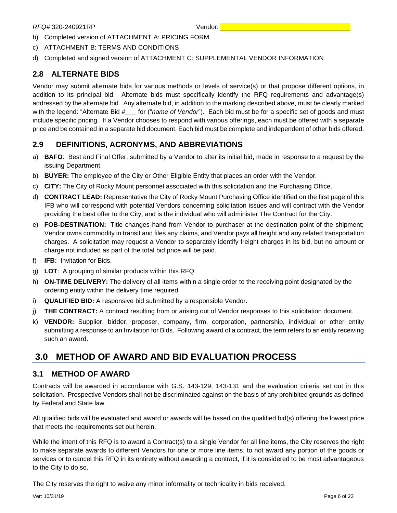- b) Completed version of ATTACHMENT A: PRICING FORM
- c) ATTACHMENT B: TERMS AND CONDITIONS
- d) Completed and signed version of ATTACHMENT C: SUPPLEMENTAL VENDOR INFORMATION

#### <span id="page-6-0"></span>**2.8 ALTERNATE BIDS**

Vendor may submit alternate bids for various methods or levels of service(s) or that propose different options, in addition to its principal bid. Alternate bids must specifically identify the RFQ requirements and advantage(s) addressed by the alternate bid. Any alternate bid, in addition to the marking described above, must be clearly marked with the legend: "Alternate Bid #\_\_\_ for ("*name of Vendor*"). Each bid must be for a specific set of goods and must include specific pricing. If a Vendor chooses to respond with various offerings, each must be offered with a separate price and be contained in a separate bid document. Each bid must be complete and independent of other bids offered.

#### <span id="page-6-1"></span>**2.9 DEFINITIONS, ACRONYMS, AND ABBREVIATIONS**

- a) **BAFO**: Best and Final Offer, submitted by a Vendor to alter its initial bid, made in response to a request by the issuing Department.
- b) **BUYER:** The employee of the City or Other Eligible Entity that places an order with the Vendor.
- c) **CITY:** The City of Rocky Mount personnel associated with this solicitation and the Purchasing Office.
- d) **CONTRACT LEAD:** Representative the City of Rocky Mount Purchasing Office identified on the first page of this IFB who will correspond with potential Vendors concerning solicitation issues and will contract with the Vendor providing the best offer to the City, and is the individual who will administer The Contract for the City.
- e) **FOB-DESTINATION:** Title changes hand from Vendor to purchaser at the destination point of the shipment; Vendor owns commodity in transit and files any claims, and Vendor pays all freight and any related transportation charges. A solicitation may request a Vendor to separately identify freight charges in its bid, but no amount or charge not included as part of the total bid price will be paid.
- f) **IFB:** Invitation for Bids.
- g) **LOT**: A grouping of similar products within this RFQ.
- h) **ON-TIME DELIVERY:** The delivery of all items within a single order to the receiving point designated by the ordering entity within the delivery time required.
- i) **QUALIFIED BID:** A responsive bid submitted by a responsible Vendor.
- j) **THE CONTRACT:** A contract resulting from or arising out of Vendor responses to this solicitation document.
- k) **VENDOR:** Supplier, bidder, proposer, company, firm, corporation, partnership, individual or other entity submitting a response to an Invitation for Bids. Following award of a contract, the term refers to an entity receiving such an award.

### <span id="page-6-2"></span>**3.0 METHOD OF AWARD AND BID EVALUATION PROCESS**

#### <span id="page-6-3"></span>**3.1 METHOD OF AWARD**

Contracts will be awarded in accordance with G.S. 143-129, 143-131 and the evaluation criteria set out in this solicitation. Prospective Vendors shall not be discriminated against on the basis of any prohibited grounds as defined by Federal and State law.

All qualified bids will be evaluated and award or awards will be based on the qualified bid(s) offering the lowest price that meets the requirements set out herein.

While the intent of this RFQ is to award a Contract(s) to a single Vendor for all line items, the City reserves the right to make separate awards to different Vendors for one or more line items, to not award any portion of the goods or services or to cancel this RFQ in its entirety without awarding a contract, if it is considered to be most advantageous to the City to do so.

The City reserves the right to waive any minor informality or technicality in bids received.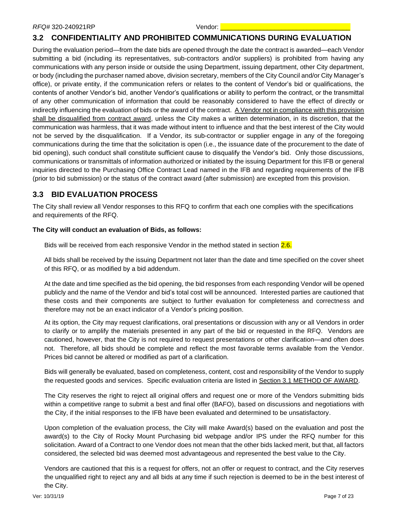#### <span id="page-7-0"></span>**3.2 CONFIDENTIALITY AND PROHIBITED COMMUNICATIONS DURING EVALUATION**

During the evaluation period—from the date bids are opened through the date the contract is awarded—each Vendor submitting a bid (including its representatives, sub-contractors and/or suppliers) is prohibited from having any communications with any person inside or outside the using Department, issuing department, other City department, or body (including the purchaser named above, division secretary, members of the City Council and/or City Manager's office), or private entity, if the communication refers or relates to the content of Vendor's bid or qualifications, the contents of another Vendor's bid, another Vendor's qualifications or ability to perform the contract, or the transmittal of any other communication of information that could be reasonably considered to have the effect of directly or indirectly influencing the evaluation of bids or the award of the contract. A Vendor not in compliance with this provision shall be disqualified from contract award, unless the City makes a written determination, in its discretion, that the communication was harmless, that it was made without intent to influence and that the best interest of the City would not be served by the disqualification. If a Vendor, its sub-contractor or supplier engage in any of the foregoing communications during the time that the solicitation is open (i.e., the issuance date of the procurement to the date of bid opening), such conduct shall constitute sufficient cause to disqualify the Vendor's bid. Only those discussions, communications or transmittals of information authorized or initiated by the issuing Department for this IFB or general inquiries directed to the Purchasing Office Contract Lead named in the IFB and regarding requirements of the IFB (prior to bid submission) or the status of the contract award (after submission) are excepted from this provision.

#### <span id="page-7-1"></span>**3.3 BID EVALUATION PROCESS**

The City shall review all Vendor responses to this RFQ to confirm that each one complies with the specifications and requirements of the RFQ.

#### **The City will conduct an evaluation of Bids, as follows:**

Bids will be received from each responsive Vendor in the method stated in section 2.6.

All bids shall be received by the issuing Department not later than the date and time specified on the cover sheet of this RFQ, or as modified by a bid addendum.

At the date and time specified as the bid opening, the bid responses from each responding Vendor will be opened publicly and the name of the Vendor and bid's total cost will be announced. Interested parties are cautioned that these costs and their components are subject to further evaluation for completeness and correctness and therefore may not be an exact indicator of a Vendor's pricing position.

At its option, the City may request clarifications, oral presentations or discussion with any or all Vendors in order to clarify or to amplify the materials presented in any part of the bid or requested in the RFQ. Vendors are cautioned, however, that the City is not required to request presentations or other clarification—and often does not. Therefore, all bids should be complete and reflect the most favorable terms available from the Vendor. Prices bid cannot be altered or modified as part of a clarification.

Bids will generally be evaluated, based on completeness, content, cost and responsibility of the Vendor to supply the requested goods and services. Specific evaluation criteria are listed in Section 3.1 METHOD OF AWARD.

The City reserves the right to reject all original offers and request one or more of the Vendors submitting bids within a competitive range to submit a best and final offer (BAFO), based on discussions and negotiations with the City, if the initial responses to the IFB have been evaluated and determined to be unsatisfactory.

Upon completion of the evaluation process, the City will make Award(s) based on the evaluation and post the award(s) to the City of Rocky Mount Purchasing bid webpage and/or IPS under the RFQ number for this solicitation. Award of a Contract to one Vendor does not mean that the other bids lacked merit, but that, all factors considered, the selected bid was deemed most advantageous and represented the best value to the City.

Vendors are cautioned that this is a request for offers, not an offer or request to contract, and the City reserves the unqualified right to reject any and all bids at any time if such rejection is deemed to be in the best interest of the City.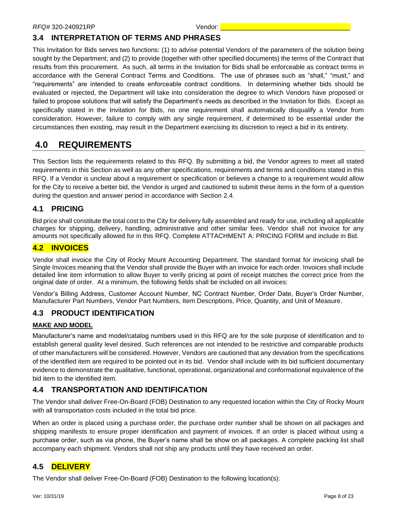### <span id="page-8-0"></span>**3.4 INTERPRETATION OF TERMS AND PHRASES**

This Invitation for Bids serves two functions: (1) to advise potential Vendors of the parameters of the solution being sought by the Department; and (2) to provide (together with other specified documents) the terms of the Contract that results from this procurement. As such, all terms in the Invitation for Bids shall be enforceable as contract terms in accordance with the General Contract Terms and Conditions. The use of phrases such as "shall," "must," and "requirements" are intended to create enforceable contract conditions. In determining whether bids should be evaluated or rejected, the Department will take into consideration the degree to which Vendors have proposed or failed to propose solutions that will satisfy the Department's needs as described in the Invitation for Bids. Except as specifically stated in the Invitation for Bids, no one requirement shall automatically disqualify a Vendor from consideration. However, failure to comply with any single requirement, if determined to be essential under the circumstances then existing, may result in the Department exercising its discretion to reject a bid in its entirety.

### <span id="page-8-1"></span>**4.0 REQUIREMENTS**

This Section lists the requirements related to this RFQ. By submitting a bid, the Vendor agrees to meet all stated requirements in this Section as well as any other specifications, requirements and terms and conditions stated in this RFQ. If a Vendor is unclear about a requirement or specification or believes a change to a requirement would allow for the City to receive a better bid, the Vendor is urged and cautioned to submit these items in the form of a question during the question and answer period in accordance with Section 2.4.

### <span id="page-8-2"></span>**4.1 PRICING**

Bid price shall constitute the total cost to the City for delivery fully assembled and ready for use, including all applicable charges for shipping, delivery, handling, administrative and other similar fees. Vendor shall not invoice for any amounts not specifically allowed for in this RFQ. Complete ATTACHMENT A: PRICING FORM and include in Bid.

#### <span id="page-8-3"></span>**4.2 INVOICES**

Vendor shall invoice the City of Rocky Mount Accounting Department. The standard format for invoicing shall be Single Invoices meaning that the Vendor shall provide the Buyer with an invoice for each order. Invoices shall include detailed line item information to allow Buyer to verify pricing at point of receipt matches the correct price from the original date of order. At a minimum, the following fields shall be included on all invoices:

Vendor's Billing Address, Customer Account Number, NC Contract Number, Order Date, Buyer's Order Number, Manufacturer Part Numbers, Vendor Part Numbers, Item Descriptions, Price, Quantity, and Unit of Measure.

### <span id="page-8-4"></span>**4.3 PRODUCT IDENTIFICATION**

#### **MAKE AND MODEL**

Manufacturer's name and model/catalog numbers used in this RFQ are for the sole purpose of identification and to establish general quality level desired. Such references are not intended to be restrictive and comparable products of other manufacturers will be considered. However, Vendors are cautioned that any deviation from the specifications of the identified item are required to be pointed out in its bid. Vendor shall include with its bid sufficient documentary evidence to demonstrate the qualitative, functional, operational, organizational and conformational equivalence of the bid item to the identified item.

### <span id="page-8-5"></span>**4.4 TRANSPORTATION AND IDENTIFICATION**

The Vendor shall deliver Free-On-Board (FOB) Destination to any requested location within the City of Rocky Mount with all transportation costs included in the total bid price.

When an order is placed using a purchase order, the purchase order number shall be shown on all packages and shipping manifests to ensure proper identification and payment of invoices. If an order is placed without using a purchase order, such as via phone, the Buyer's name shall be show on all packages. A complete packing list shall accompany each shipment. Vendors shall not ship any products until they have received an order.

#### <span id="page-8-6"></span>**4.5 DELIVERY**

The Vendor shall deliver Free-On-Board (FOB) Destination to the following location(s):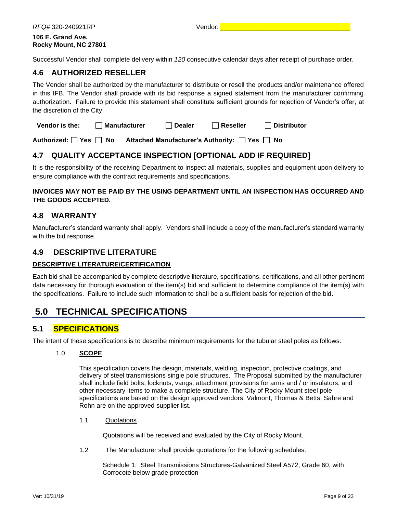| RFQ#320-240921RP                           | Vendor: |
|--------------------------------------------|---------|
| 106 E. Grand Ave.<br>Rocky Mount, NC 27801 |         |

Successful Vendor shall complete delivery within *120* consecutive calendar days after receipt of purchase order.

#### <span id="page-9-0"></span>**4.6 AUTHORIZED RESELLER**

The Vendor shall be authorized by the manufacturer to distribute or resell the products and/or maintenance offered in this IFB. The Vendor shall provide with its bid response a signed statement from the manufacturer confirming authorization. Failure to provide this statement shall constitute sufficient grounds for rejection of Vendor's offer, at the discretion of the City.

| Vendor is the: | <sup>1</sup> Manufacturer | $\Box$ Dealer | $\Box$ Reseller | $\sqcap$ Distributor |
|----------------|---------------------------|---------------|-----------------|----------------------|
|----------------|---------------------------|---------------|-----------------|----------------------|

Authorized:  $\Box$  Yes  $\Box$  No Attached Manufacturer's Authority:  $\Box$  Yes  $\Box$  No

### <span id="page-9-1"></span>**4.7 QUALITY ACCEPTANCE INSPECTION [OPTIONAL ADD IF REQUIRED]**

It is the responsibility of the receiving Department to inspect all materials, supplies and equipment upon delivery to ensure compliance with the contract requirements and specifications.

#### **INVOICES MAY NOT BE PAID BY THE USING DEPARTMENT UNTIL AN INSPECTION HAS OCCURRED AND THE GOODS ACCEPTED.**

#### <span id="page-9-2"></span>**4.8 WARRANTY**

Manufacturer's standard warranty shall apply. Vendors shall include a copy of the manufacturer's standard warranty with the bid response.

#### <span id="page-9-3"></span>**4.9 DESCRIPTIVE LITERATURE**

#### **DESCRIPTIVE LITERATURE/CERTIFICATION**

Each bid shall be accompanied by complete descriptive literature, specifications, certifications, and all other pertinent data necessary for thorough evaluation of the item(s) bid and sufficient to determine compliance of the item(s) with the specifications. Failure to include such information to shall be a sufficient basis for rejection of the bid.

### <span id="page-9-4"></span>**5.0 TECHNICAL SPECIFICATIONS**

#### <span id="page-9-5"></span>**5.1 SPECIFICATIONS**

The intent of these specifications is to describe minimum requirements for the tubular steel poles as follows:

#### 1.0 **SCOPE**

This specification covers the design, materials, welding, inspection, protective coatings, and delivery of steel transmissions single pole structures. The Proposal submitted by the manufacturer shall include field bolts, locknuts, vangs, attachment provisions for arms and / or insulators, and other necessary items to make a complete structure. The City of Rocky Mount steel pole specifications are based on the design approved vendors. Valmont, Thomas & Betts, Sabre and Rohn are on the approved supplier list.

#### 1.1 Quotations

Quotations will be received and evaluated by the City of Rocky Mount.

1.2 The Manufacturer shall provide quotations for the following schedules:

Schedule 1: Steel Transmissions Structures-Galvanized Steel A572, Grade 60, with Corrocote below grade protection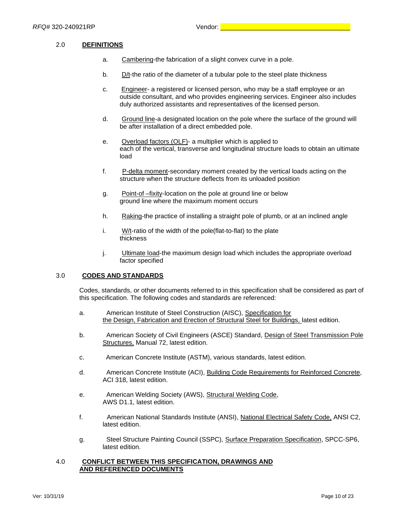#### 2.0 **DEFINITIONS**

- a. Cambering-the fabrication of a slight convex curve in a pole.
- b.  $D/t$ -the ratio of the diameter of a tubular pole to the steel plate thickness
- c. Engineer- a registered or licensed person, who may be a staff employee or an outside consultant, and who provides engineering services. Engineer also includes duly authorized assistants and representatives of the licensed person.
- d. Ground line-a designated location on the pole where the surface of the ground will be after installation of a direct embedded pole.
- e. Overload factors (OLF)- a multiplier which is applied to each of the vertical, transverse and longitudinal structure loads to obtain an ultimate load
- f. P-delta moment-secondary moment created by the vertical loads acting on the structure when the structure deflects from its unloaded position
- g. Point-of –fixity-location on the pole at ground line or below ground line where the maximum moment occurs
- h. Raking-the practice of installing a straight pole of plumb, or at an inclined angle
- i. W/t-ratio of the width of the pole(flat-to-flat) to the plate thickness
- j. **Ultimate load-the maximum design load which includes the appropriate overload** factor specified

#### 3.0 **CODES AND STANDARDS**

Codes, standards, or other documents referred to in this specification shall be considered as part of this specification. The following codes and standards are referenced:

- a. American Institute of Steel Construction (AISC), Specification for the Design, Fabrication and Erection of Structural Steel for Buildings, latest edition.
- b. American Society of Civil Engineers (ASCE) Standard, Design of Steel Transmission Pole Structures, Manual 72, latest edition.
- c. American Concrete Institute (ASTM), various standards, latest edition.
- d. American Concrete Institute (ACI), Building Code Requirements for Reinforced Concrete, ACI 318, latest edition.
- e. American Welding Society (AWS), Structural Welding Code, AWS D1.1, latest edition.
- f. American National Standards Institute (ANSI), National Electrical Safety Code, ANSI C2, latest edition.
- g. Steel Structure Painting Council (SSPC), Surface Preparation Specification, SPCC-SP6, latest edition.

#### 4.0 **CONFLICT BETWEEN THIS SPECIFICATION, DRAWINGS AND AND REFERENCED DOCUMENTS**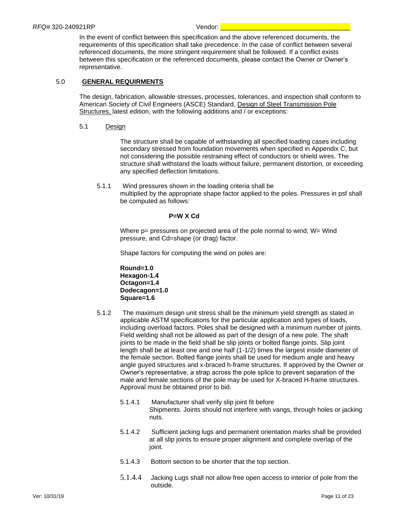In the event of conflict between this specification and the above referenced documents, the requirements of this specification shall take precedence. In the case of conflict between several referenced documents, the more stringent requirement shall be followed. If a conflict exists between this specification or the referenced documents, please contact the Owner or Owner's representative.

#### 5.0 **GENERAL REQUIRMENTS**

The design, fabrication, allowable stresses, processes, tolerances, and inspection shall conform to American Society of Civil Engineers (ASCE) Standard, Design of Steel Transmission Pole Structures, latest edition, with the following additions and / or exceptions:

#### 5.1 Design

The structure shall be capable of withstanding all specified loading cases including secondary stressed from foundation movements when specified in Appendix C, but not considering the possible restraining effect of conductors or shield wires. The structure shall withstand the loads without failure, permanent distortion, or exceeding any specified deflection limitations.

5.1.1 Wind pressures shown in the loading criteria shall be multiplied by the appropriate shape factor applied to the poles. Pressures in psf shall be computed as follows:

#### **P=W X Cd**

Where  $p=$  pressures on projected area of the pole normal to wind,  $W=$  Wind pressure, and Cd=shape (or drag) factor.

Shape factors for computing the wind on poles are:

**Round=1.0 Hexagon-1.4 Octagon=1.4 Dodecagon=1.0 Square=1.6**

- 5.1.2 The maximum design unit stress shall be the minimum yield strength as stated in applicable ASTM specifications for the particular application and types of loads, including overload factors. Poles shall be designed with a minimum number of joints. Field welding shall not be allowed as part of the design of a new pole. The shaft joints to be made in the field shall be slip joints or bolted flange joints. Slip joint length shall be at least one and one half (1-1/2) times the largest inside diameter of the female section. Bolted flange joints shall be used for medium angle and heavy angle guyed structures and x-braced h-frame structures. If approved by the Owner or Owner's representative, a strap across the pole splice to prevent separation of the male and female sections of the pole may be used for X-braced H-frame structures. Approval must be obtained prior to bid.
	- 5.1.4.1 Manufacturer shall verify slip joint fit before Shipments. Joints should not interfere with vangs, through holes or jacking nuts.
	- 5.1.4.2 Sufficient jacking lugs and permanent orientation marks shall be provided at all slip joints to ensure proper alignment and complete overlap of the joint.
	- 5.1.4.3 Bottom section to be shorter that the top section.
	- 5.1.4.4 Jacking Lugs shall not allow free open access to interior of pole from the outside.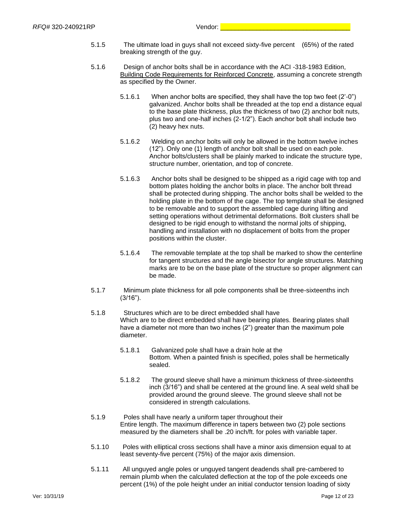- 5.1.5 The ultimate load in guys shall not exceed sixty-five percent (65%) of the rated breaking strength of the guy.
- 5.1.6 Design of anchor bolts shall be in accordance with the ACI -318-1983 Edition, Building Code Requirements for Reinforced Concrete, assuming a concrete strength as specified by the Owner.
	- 5.1.6.1 When anchor bolts are specified, they shall have the top two feet (2'-0") galvanized. Anchor bolts shall be threaded at the top end a distance equal to the base plate thickness, plus the thickness of two (2) anchor bolt nuts, plus two and one-half inches (2-1/2"). Each anchor bolt shall include two (2) heavy hex nuts.
	- 5.1.6.2 Welding on anchor bolts will only be allowed in the bottom twelve inches (12"). Only one (1) length of anchor bolt shall be used on each pole. Anchor bolts/clusters shall be plainly marked to indicate the structure type, structure number, orientation, and top of concrete.
	- 5.1.6.3 Anchor bolts shall be designed to be shipped as a rigid cage with top and bottom plates holding the anchor bolts in place. The anchor bolt thread shall be protected during shipping. The anchor bolts shall be welded to the holding plate in the bottom of the cage. The top template shall be designed to be removable and to support the assembled cage during lifting and setting operations without detrimental deformations. Bolt clusters shall be designed to be rigid enough to withstand the normal jolts of shipping, handling and installation with no displacement of bolts from the proper positions within the cluster.
	- 5.1.6.4 The removable template at the top shall be marked to show the centerline for tangent structures and the angle bisector for angle structures. Matching marks are to be on the base plate of the structure so proper alignment can be made.
- 5.1.7 Minimum plate thickness for all pole components shall be three-sixteenths inch (3/16").
- 5.1.8 Structures which are to be direct embedded shall have Which are to be direct embedded shall have bearing plates. Bearing plates shall have a diameter not more than two inches (2") greater than the maximum pole diameter.
	- 5.1.8.1 Galvanized pole shall have a drain hole at the Bottom. When a painted finish is specified, poles shall be hermetically sealed.
	- 5.1.8.2 The ground sleeve shall have a minimum thickness of three-sixteenths inch (3/16") and shall be centered at the ground line. A seal weld shall be provided around the ground sleeve. The ground sleeve shall not be considered in strength calculations.
- 5.1.9 Poles shall have nearly a uniform taper throughout their Entire length. The maximum difference in tapers between two (2) pole sections measured by the diameters shall be .20 inch/ft. for poles with variable taper.
- 5.1.10 Poles with elliptical cross sections shall have a minor axis dimension equal to at least seventy-five percent (75%) of the major axis dimension.
- 5.1.11 All unguyed angle poles or unguyed tangent deadends shall pre-cambered to remain plumb when the calculated deflection at the top of the pole exceeds one percent (1%) of the pole height under an initial conductor tension loading of sixty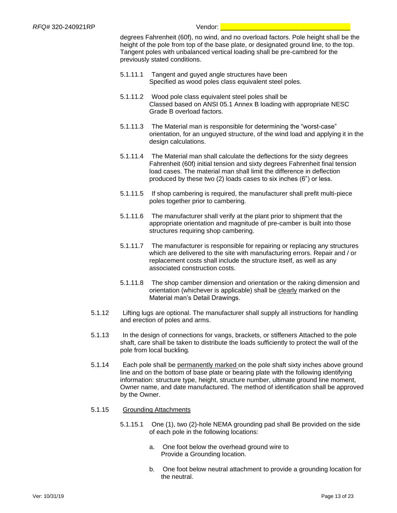degrees Fahrenheit (60f), no wind, and no overload factors. Pole height shall be the height of the pole from top of the base plate, or designated ground line, to the top. Tangent poles with unbalanced vertical loading shall be pre-cambred for the previously stated conditions.

- 5.1.11.1 Tangent and guyed angle structures have been Specified as wood poles class equivalent steel poles.
- 5.1.11.2 Wood pole class equivalent steel poles shall be Classed based on ANSI 05.1 Annex B loading with appropriate NESC Grade B overload factors.
- 5.1.11.3 The Material man is responsible for determining the "worst-case" orientation, for an unguyed structure, of the wind load and applying it in the design calculations.
- 5.1.11.4 The Material man shall calculate the deflections for the sixty degrees Fahrenheit (60f) initial tension and sixty degrees Fahrenheit final tension load cases. The material man shall limit the difference in deflection produced by these two (2) loads cases to six inches (6") or less.
- 5.1.11.5 If shop cambering is required, the manufacturer shall prefit multi-piece poles together prior to cambering.
- 5.1.11.6 The manufacturer shall verify at the plant prior to shipment that the appropriate orientation and magnitude of pre-camber is built into those structures requiring shop cambering.
- 5.1.11.7 The manufacturer is responsible for repairing or replacing any structures which are delivered to the site with manufacturing errors. Repair and / or replacement costs shall include the structure itself, as well as any associated construction costs.
- 5.1.11.8 The shop camber dimension and orientation or the raking dimension and orientation (whichever is applicable) shall be clearly marked on the Material man's Detail Drawings.
- 5.1.12 Lifting lugs are optional. The manufacturer shall supply all instructions for handling and erection of poles and arms.
- 5.1.13 In the design of connections for vangs, brackets, or stiffeners Attached to the pole shaft, care shall be taken to distribute the loads sufficiently to protect the wall of the pole from local buckling.
- 5.1.14 Each pole shall be permanently marked on the pole shaft sixty inches above ground line and on the bottom of base plate or bearing plate with the following identifying information: structure type, height, structure number, ultimate ground line moment, Owner name, and date manufactured. The method of identification shall be approved by the Owner.
- 5.1.15 Grounding Attachments
	- 5.1.15.1 One (1), two (2)-hole NEMA grounding pad shall Be provided on the side of each pole in the following locations:
		- a. One foot below the overhead ground wire to Provide a Grounding location.
		- b. One foot below neutral attachment to provide a grounding location for the neutral.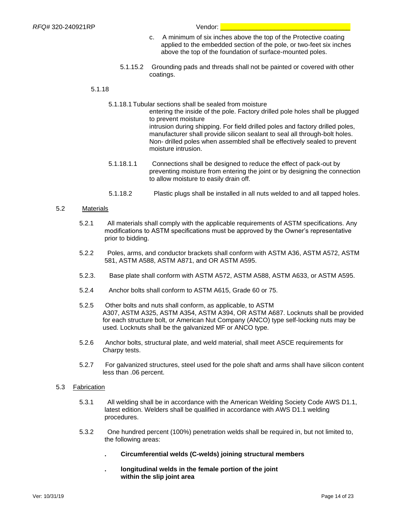- c. A minimum of six inches above the top of the Protective coating applied to the embedded section of the pole, or two-feet six inches above the top of the foundation of surface-mounted poles.
- 5.1.15.2 Grounding pads and threads shall not be painted or covered with other coatings.

#### 5.1.18

5.1.18.1 Tubular sections shall be sealed from moisture

entering the inside of the pole. Factory drilled pole holes shall be plugged to prevent moisture intrusion during shipping. For field drilled poles and factory drilled poles, manufacturer shall provide silicon sealant to seal all through-bolt holes. Non- drilled poles when assembled shall be effectively sealed to prevent moisture intrusion.

- 5.1.18.1.1 Connections shall be designed to reduce the effect of pack-out by preventing moisture from entering the joint or by designing the connection to allow moisture to easily drain off.
- 5.1.18.2 Plastic plugs shall be installed in all nuts welded to and all tapped holes.

#### 5.2 Materials

- 5.2.1 All materials shall comply with the applicable requirements of ASTM specifications. Any modifications to ASTM specifications must be approved by the Owner's representative prior to bidding.
- 5.2.2 Poles, arms, and conductor brackets shall conform with ASTM A36, ASTM A572, ASTM 581, ASTM A588, ASTM A871, and OR ASTM A595.
- 5.2.3. Base plate shall conform with ASTM A572, ASTM A588, ASTM A633, or ASTM A595.
- 5.2.4 Anchor bolts shall conform to ASTM A615, Grade 60 or 75.
- 5.2.5 Other bolts and nuts shall conform, as applicable, to ASTM A307, ASTM A325, ASTM A354, ASTM A394, OR ASTM A687. Locknuts shall be provided for each structure bolt, or American Nut Company (ANCO) type self-locking nuts may be used. Locknuts shall be the galvanized MF or ANCO type.
- 5.2.6 Anchor bolts, structural plate, and weld material, shall meet ASCE requirements for Charpy tests.
- 5.2.7 For galvanized structures, steel used for the pole shaft and arms shall have silicon content less than .06 percent.

#### 5.3 Fabrication

- 5.3.1 All welding shall be in accordance with the American Welding Society Code AWS D1.1, latest edition. Welders shall be qualified in accordance with AWS D1.1 welding procedures.
- 5.3.2 One hundred percent (100%) penetration welds shall be required in, but not limited to, the following areas:
	- **. Circumferential welds (C-welds) joining structural members**
	- **. longitudinal welds in the female portion of the joint within the slip joint area**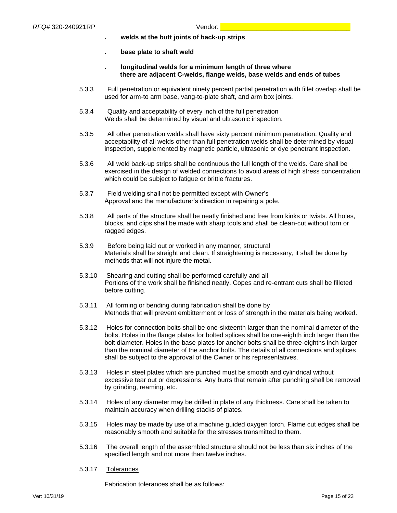- **. welds at the butt joints of back-up strips**
- **. base plate to shaft weld**
- **. longitudinal welds for a minimum length of three where there are adjacent C-welds, flange welds, base welds and ends of tubes**
- 5.3.3 Full penetration or equivalent ninety percent partial penetration with fillet overlap shall be used for arm-to arm base, vang-to-plate shaft, and arm box joints.
- 5.3.4 Quality and acceptability of every inch of the full penetration Welds shall be determined by visual and ultrasonic inspection.
- 5.3.5 All other penetration welds shall have sixty percent minimum penetration. Quality and acceptability of all welds other than full penetration welds shall be determined by visual inspection, supplemented by magnetic particle, ultrasonic or dye penetrant inspection.
- 5.3.6 All weld back-up strips shall be continuous the full length of the welds. Care shall be exercised in the design of welded connections to avoid areas of high stress concentration which could be subject to fatigue or brittle fractures.
- 5.3.7 Field welding shall not be permitted except with Owner's Approval and the manufacturer's direction in repairing a pole.
- 5.3.8 All parts of the structure shall be neatly finished and free from kinks or twists. All holes, blocks, and clips shall be made with sharp tools and shall be clean-cut without torn or ragged edges.
- 5.3.9 Before being laid out or worked in any manner, structural Materials shall be straight and clean. If straightening is necessary, it shall be done by methods that will not injure the metal.
- 5.3.10 Shearing and cutting shall be performed carefully and all Portions of the work shall be finished neatly. Copes and re-entrant cuts shall be filleted before cutting.
- 5.3.11 All forming or bending during fabrication shall be done by Methods that will prevent embitterment or loss of strength in the materials being worked.
- 5.3.12 Holes for connection bolts shall be one-sixteenth larger than the nominal diameter of the bolts. Holes in the flange plates for bolted splices shall be one-eighth inch larger than the bolt diameter. Holes in the base plates for anchor bolts shall be three-eighths inch larger than the nominal diameter of the anchor bolts. The details of all connections and splices shall be subject to the approval of the Owner or his representatives.
- 5.3.13 Holes in steel plates which are punched must be smooth and cylindrical without excessive tear out or depressions. Any burrs that remain after punching shall be removed by grinding, reaming, etc.
- 5.3.14 Holes of any diameter may be drilled in plate of any thickness. Care shall be taken to maintain accuracy when drilling stacks of plates.
- 5.3.15 Holes may be made by use of a machine guided oxygen torch. Flame cut edges shall be reasonably smooth and suitable for the stresses transmitted to them.
- 5.3.16 The overall length of the assembled structure should not be less than six inches of the specified length and not more than twelve inches.
- 5.3.17 Tolerances

Fabrication tolerances shall be as follows: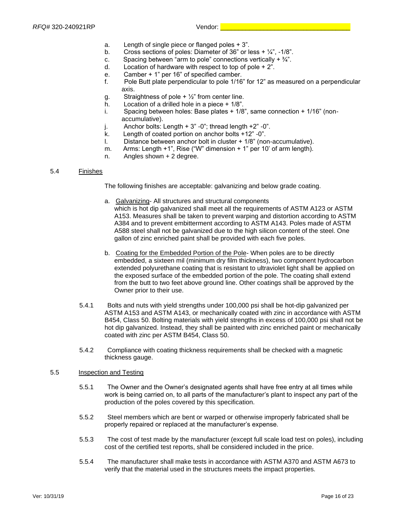- a. Length of single piece or flanged poles + 3".
- b. Cross sections of poles: Diameter of 36" or less  $+$   $\frac{1}{4}$ ",  $-1/8$ ".
- c. Spacing between "arm to pole" connections vertically  $+3/4$ ".
- d. Location of hardware with respect to top of pole + 2".
- e. Camber + 1" per 16" of specified camber.
- f. Pole Butt plate perpendicular to pole 1/16" for 12" as measured on a perpendicular axis.
- g. Straightness of pole  $+ \frac{1}{2}$ " from center line.
- h. Location of a drilled hole in a piece + 1/8".
- i. Spacing between holes: Base plates + 1/8", same connection + 1/16" (nonaccumulative).
- j. Anchor bolts: Length  $+3$ " -0"; thread length  $+2$ " -0".
- k. Length of coated portion on anchor bolts +12" -0".
- l. Distance between anchor bolt in cluster + 1/8" (non-accumulative).
- m. Arms: Length +1", Rise ("W" dimension + 1" per 10' of arm length).
- n. Angles shown + 2 degree.

#### 5.4 Finishes

The following finishes are acceptable: galvanizing and below grade coating.

- a. Galvanizing- All structures and structural components which is hot dip galvanized shall meet all the requirements of ASTM A123 or ASTM A153. Measures shall be taken to prevent warping and distortion according to ASTM A384 and to prevent embitterment according to ASTM A143. Poles made of ASTM A588 steel shall not be galvanized due to the high silicon content of the steel. One gallon of zinc enriched paint shall be provided with each five poles.
- b. Coating for the Embedded Portion of the Pole- When poles are to be directly embedded, a sixteen mil (minimum dry film thickness), two component hydrocarbon extended polyurethane coating that is resistant to ultraviolet light shall be applied on the exposed surface of the embedded portion of the pole. The coating shall extend from the butt to two feet above ground line. Other coatings shall be approved by the Owner prior to their use.
- 5.4.1 Bolts and nuts with yield strengths under 100,000 psi shall be hot-dip galvanized per ASTM A153 and ASTM A143, or mechanically coated with zinc in accordance with ASTM B454, Class 50. Bolting materials with yield strengths in excess of 100,000 psi shall not be hot dip galvanized. Instead, they shall be painted with zinc enriched paint or mechanically coated with zinc per ASTM B454, Class 50.
- 5.4.2 Compliance with coating thickness requirements shall be checked with a magnetic thickness gauge.

#### 5.5 Inspection and Testing

- 5.5.1 The Owner and the Owner's designated agents shall have free entry at all times while work is being carried on, to all parts of the manufacturer's plant to inspect any part of the production of the poles covered by this specification.
- 5.5.2 Steel members which are bent or warped or otherwise improperly fabricated shall be properly repaired or replaced at the manufacturer's expense.
- 5.5.3 The cost of test made by the manufacturer (except full scale load test on poles), including cost of the certified test reports, shall be considered included in the price.
- 5.5.4 The manufacturer shall make tests in accordance with ASTM A370 and ASTM A673 to verify that the material used in the structures meets the impact properties.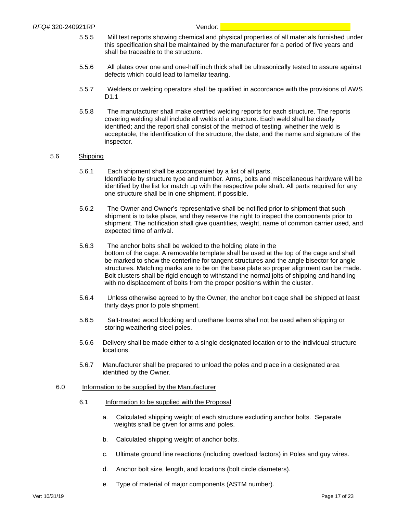- 5.5.5 Mill test reports showing chemical and physical properties of all materials furnished under this specification shall be maintained by the manufacturer for a period of five years and shall be traceable to the structure.
- 5.5.6 All plates over one and one-half inch thick shall be ultrasonically tested to assure against defects which could lead to lamellar tearing.
- 5.5.7 Welders or welding operators shall be qualified in accordance with the provisions of AWS D1.1
- 5.5.8 The manufacturer shall make certified welding reports for each structure. The reports covering welding shall include all welds of a structure. Each weld shall be clearly identified; and the report shall consist of the method of testing, whether the weld is acceptable, the identification of the structure, the date, and the name and signature of the inspector.

#### 5.6 Shipping

- 5.6.1 Each shipment shall be accompanied by a list of all parts, Identifiable by structure type and number. Arms, bolts and miscellaneous hardware will be identified by the list for match up with the respective pole shaft. All parts required for any one structure shall be in one shipment, if possible.
- 5.6.2 The Owner and Owner's representative shall be notified prior to shipment that such shipment is to take place, and they reserve the right to inspect the components prior to shipment. The notification shall give quantities, weight, name of common carrier used, and expected time of arrival.
- 5.6.3 The anchor bolts shall be welded to the holding plate in the bottom of the cage. A removable template shall be used at the top of the cage and shall be marked to show the centerline for tangent structures and the angle bisector for angle structures. Matching marks are to be on the base plate so proper alignment can be made. Bolt clusters shall be rigid enough to withstand the normal jolts of shipping and handling with no displacement of bolts from the proper positions within the cluster.
- 5.6.4 Unless otherwise agreed to by the Owner, the anchor bolt cage shall be shipped at least thirty days prior to pole shipment.
- 5.6.5 Salt-treated wood blocking and urethane foams shall not be used when shipping or storing weathering steel poles.
- 5.6.6 Delivery shall be made either to a single designated location or to the individual structure locations.
- 5.6.7 Manufacturer shall be prepared to unload the poles and place in a designated area identified by the Owner.

#### 6.0 Information to be supplied by the Manufacturer

- 6.1 Information to be supplied with the Proposal
	- a. Calculated shipping weight of each structure excluding anchor bolts. Separate weights shall be given for arms and poles.
	- b. Calculated shipping weight of anchor bolts.
	- c. Ultimate ground line reactions (including overload factors) in Poles and guy wires.
	- d. Anchor bolt size, length, and locations (bolt circle diameters).
	- e. Type of material of major components (ASTM number).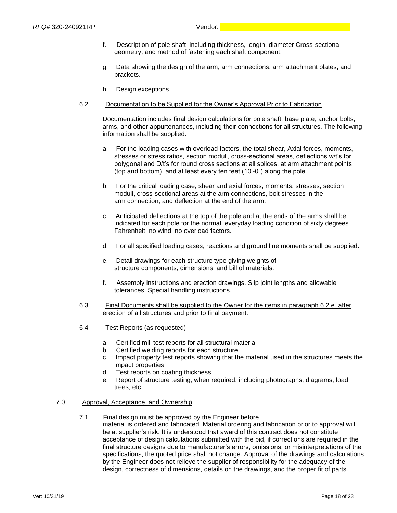- f. Description of pole shaft, including thickness, length, diameter Cross-sectional geometry, and method of fastening each shaft component.
- g. Data showing the design of the arm, arm connections, arm attachment plates, and brackets.
- h. Design exceptions.
- 6.2 Documentation to be Supplied for the Owner's Approval Prior to Fabrication

Documentation includes final design calculations for pole shaft, base plate, anchor bolts, arms, and other appurtenances, including their connections for all structures. The following information shall be supplied:

- a. For the loading cases with overload factors, the total shear, Axial forces, moments, stresses or stress ratios, section moduli, cross-sectional areas, deflections w/t's for polygonal and D/t's for round cross sections at all splices, at arm attachment points (top and bottom), and at least every ten feet (10'-0") along the pole.
- b. For the critical loading case, shear and axial forces, moments, stresses, section moduli, cross-sectional areas at the arm connections, bolt stresses in the arm connection, and deflection at the end of the arm.
- c. Anticipated deflections at the top of the pole and at the ends of the arms shall be indicated for each pole for the normal, everyday loading condition of sixty degrees Fahrenheit, no wind, no overload factors.
- d. For all specified loading cases, reactions and ground line moments shall be supplied.
- e. Detail drawings for each structure type giving weights of structure components, dimensions, and bill of materials.
- f. Assembly instructions and erection drawings. Slip joint lengths and allowable tolerances. Special handling instructions.
- 6.3 Final Documents shall be supplied to the Owner for the items in paragraph 6.2.e. after erection of all structures and prior to final payment.
- 6.4 Test Reports (as requested)
	- a. Certified mill test reports for all structural material
	- b. Certified welding reports for each structure
	- c. Impact property test reports showing that the material used in the structures meets the impact properties
	- d. Test reports on coating thickness
	- e. Report of structure testing, when required, including photographs, diagrams, load trees, etc.

#### 7.0 Approval, Acceptance, and Ownership

7.1 Final design must be approved by the Engineer before material is ordered and fabricated. Material ordering and fabrication prior to approval will be at supplier's risk. It is understood that award of this contract does not constitute acceptance of design calculations submitted with the bid, if corrections are required in the final structure designs due to manufacturer's errors, omissions, or misinterpretations of the specifications, the quoted price shall not change. Approval of the drawings and calculations by the Engineer does not relieve the supplier of responsibility for the adequacy of the design, correctness of dimensions, details on the drawings, and the proper fit of parts.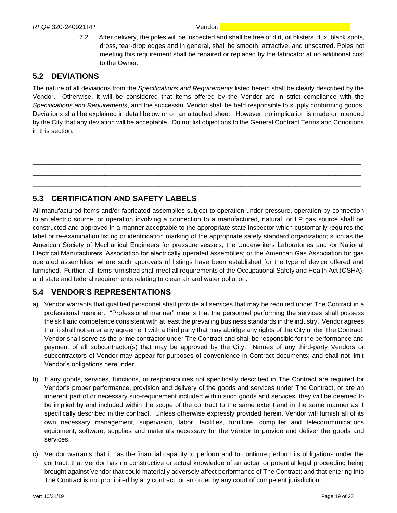7.2 After delivery, the poles will be inspected and shall be free of dirt, oil blisters, flux, black spots, dross, tear-drop edges and in general, shall be smooth, attractive, and unscarred. Poles not meeting this requirement shall be repaired or replaced by the fabricator at no additional cost to the Owner.

#### <span id="page-19-0"></span>**5.2 DEVIATIONS**

The nature of all deviations from the *Specifications and Requirements* listed herein shall be clearly described by the Vendor. Otherwise, it will be considered that items offered by the Vendor are in strict compliance with the *Specifications and Requirements*, and the successful Vendor shall be held responsible to supply conforming goods. Deviations shall be explained in detail below or on an attached sheet. However, no implication is made or intended by the City that any deviation will be acceptable. Do not list objections to the General Contract Terms and Conditions in this section.

\_\_\_\_\_\_\_\_\_\_\_\_\_\_\_\_\_\_\_\_\_\_\_\_\_\_\_\_\_\_\_\_\_\_\_\_\_\_\_\_\_\_\_\_\_\_\_\_\_\_\_\_\_\_\_\_\_\_\_\_\_\_\_\_\_\_\_\_\_\_\_\_\_\_\_\_\_\_\_\_\_\_\_\_\_\_\_\_\_\_\_

\_\_\_\_\_\_\_\_\_\_\_\_\_\_\_\_\_\_\_\_\_\_\_\_\_\_\_\_\_\_\_\_\_\_\_\_\_\_\_\_\_\_\_\_\_\_\_\_\_\_\_\_\_\_\_\_\_\_\_\_\_\_\_\_\_\_\_\_\_\_\_\_\_\_\_\_\_\_\_\_\_\_\_\_\_\_\_\_\_\_\_  $\_$  ,  $\_$  ,  $\_$  ,  $\_$  ,  $\_$  ,  $\_$  ,  $\_$  ,  $\_$  ,  $\_$  ,  $\_$  ,  $\_$  ,  $\_$  ,  $\_$  ,  $\_$  ,  $\_$  ,  $\_$  ,  $\_$  ,  $\_$  ,  $\_$  ,  $\_$  ,  $\_$  ,  $\_$  ,  $\_$  ,  $\_$  ,  $\_$  ,  $\_$  ,  $\_$  ,  $\_$  ,  $\_$  ,  $\_$  ,  $\_$  ,  $\_$  ,  $\_$  ,  $\_$  ,  $\_$  ,  $\_$  ,  $\_$  , \_\_\_\_\_\_\_\_\_\_\_\_\_\_\_\_\_\_\_\_\_\_\_\_\_\_\_\_\_\_\_\_\_\_\_\_\_\_\_\_\_\_\_\_\_\_\_\_\_\_\_\_\_\_\_\_\_\_\_\_\_\_\_\_\_\_\_\_\_\_\_\_\_\_\_\_\_\_\_\_\_\_\_\_\_\_\_\_\_\_\_

### <span id="page-19-1"></span>**5.3 CERTIFICATION AND SAFETY LABELS**

All manufactured items and/or fabricated assemblies subject to operation under pressure, operation by connection to an electric source, or operation involving a connection to a manufactured, natural, or LP gas source shall be constructed and approved in a manner acceptable to the appropriate state inspector which customarily requires the label or re-examination listing or identification marking of the appropriate safety standard organization; such as the American Society of Mechanical Engineers for pressure vessels; the Underwriters Laboratories and /or National Electrical Manufacturers' Association for electrically operated assemblies; or the American Gas Association for gas operated assemblies, where such approvals of listings have been established for the type of device offered and furnished. Further, all items furnished shall meet all requirements of the Occupational Safety and Health Act (OSHA), and state and federal requirements relating to clean air and water pollution.

### <span id="page-19-2"></span>**5.4 VENDOR'S REPRESENTATIONS**

- a) Vendor warrants that qualified personnel shall provide all services that may be required under The Contract in a professional manner. "Professional manner" means that the personnel performing the services shall possess the skill and competence consistent with at least the prevailing business standards in the industry. Vendor agrees that it shall not enter any agreement with a third party that may abridge any rights of the City under The Contract. Vendor shall serve as the prime contractor under The Contract and shall be responsible for the performance and payment of all subcontractor(s) that may be approved by the City. Names of any third-party Vendors or subcontractors of Vendor may appear for purposes of convenience in Contract documents; and shall not limit Vendor's obligations hereunder.
- b) If any goods, services, functions, or responsibilities not specifically described in The Contract are required for Vendor's proper performance, provision and delivery of the goods and services under The Contract, or are an inherent part of or necessary sub-requirement included within such goods and services, they will be deemed to be implied by and included within the scope of the contract to the same extent and in the same manner as if specifically described in the contract. Unless otherwise expressly provided herein, Vendor will furnish all of its own necessary management, supervision, labor, facilities, furniture, computer and telecommunications equipment, software, supplies and materials necessary for the Vendor to provide and deliver the goods and services.
- c) Vendor warrants that it has the financial capacity to perform and to continue perform its obligations under the contract; that Vendor has no constructive or actual knowledge of an actual or potential legal proceeding being brought against Vendor that could materially adversely affect performance of The Contract; and that entering into The Contract is not prohibited by any contract, or an order by any court of competent jurisdiction.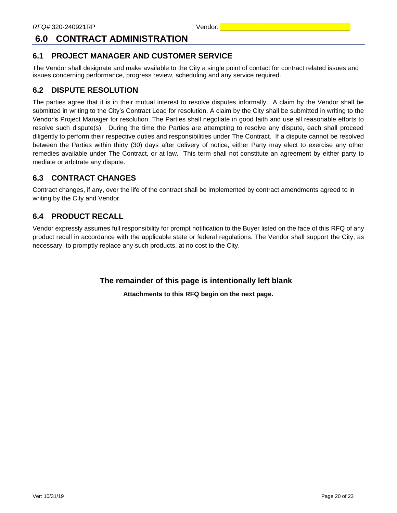### <span id="page-20-0"></span>**6.0 CONTRACT ADMINISTRATION**

### <span id="page-20-1"></span>**6.1 PROJECT MANAGER AND CUSTOMER SERVICE**

The Vendor shall designate and make available to the City a single point of contact for contract related issues and issues concerning performance, progress review, scheduling and any service required.

#### <span id="page-20-2"></span>**6.2 DISPUTE RESOLUTION**

The parties agree that it is in their mutual interest to resolve disputes informally. A claim by the Vendor shall be submitted in writing to the City's Contract Lead for resolution. A claim by the City shall be submitted in writing to the Vendor's Project Manager for resolution. The Parties shall negotiate in good faith and use all reasonable efforts to resolve such dispute(s). During the time the Parties are attempting to resolve any dispute, each shall proceed diligently to perform their respective duties and responsibilities under The Contract. If a dispute cannot be resolved between the Parties within thirty (30) days after delivery of notice, either Party may elect to exercise any other remedies available under The Contract, or at law. This term shall not constitute an agreement by either party to mediate or arbitrate any dispute.

### <span id="page-20-3"></span>**6.3 CONTRACT CHANGES**

Contract changes, if any, over the life of the contract shall be implemented by contract amendments agreed to in writing by the City and Vendor.

### <span id="page-20-4"></span>**6.4 PRODUCT RECALL**

Vendor expressly assumes full responsibility for prompt notification to the Buyer listed on the face of this RFQ of any product recall in accordance with the applicable state or federal regulations. The Vendor shall support the City, as necessary, to promptly replace any such products, at no cost to the City.

**The remainder of this page is intentionally left blank**

**Attachments to this RFQ begin on the next page.**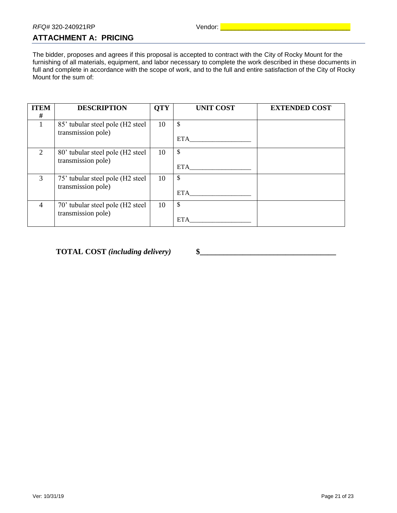### <span id="page-21-0"></span>**ATTACHMENT A: PRICING**

The bidder, proposes and agrees if this proposal is accepted to contract with the City of Rocky Mount for the furnishing of all materials, equipment, and labor necessary to complete the work described in these documents in full and complete in accordance with the scope of work, and to the full and entire satisfaction of the City of Rocky Mount for the sum of:

| <b>ITEM</b><br># | <b>DESCRIPTION</b>                                     | <b>OTY</b> | <b>UNIT COST</b> | <b>EXTENDED COST</b> |
|------------------|--------------------------------------------------------|------------|------------------|----------------------|
|                  | 85' tubular steel pole (H2 steel<br>transmission pole) | 10         | \$<br><b>ETA</b> |                      |
| 2                | 80' tubular steel pole (H2 steel<br>transmission pole) | 10         | \$<br><b>ETA</b> |                      |
| 3                | 75' tubular steel pole (H2 steel<br>transmission pole) | 10         | \$<br><b>ETA</b> |                      |
| $\overline{4}$   | 70' tubular steel pole (H2 steel<br>transmission pole) | 10         | \$<br><b>ETA</b> |                      |

**TOTAL COST** *(including delivery)* **\$\_\_\_\_\_\_\_\_\_\_\_\_\_\_\_\_\_\_\_\_\_\_\_\_\_\_\_\_\_\_\_\_\_\_\_**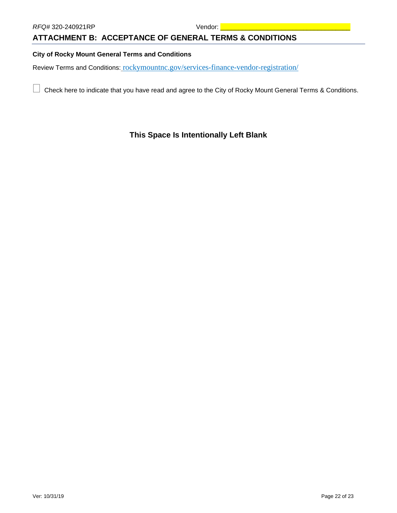#### <span id="page-22-0"></span>**ATTACHMENT B: ACCEPTANCE OF GENERAL TERMS & CONDITIONS**

#### **City of Rocky Mount General Terms and Conditions**

Review Terms and Conditions: rockymountnc.gov/services-finance-vendor-registration/

 $\Box$  Check here to indicate that you have read and agree to the City of Rocky Mount General Terms & Conditions.

#### **This Space Is Intentionally Left Blank**